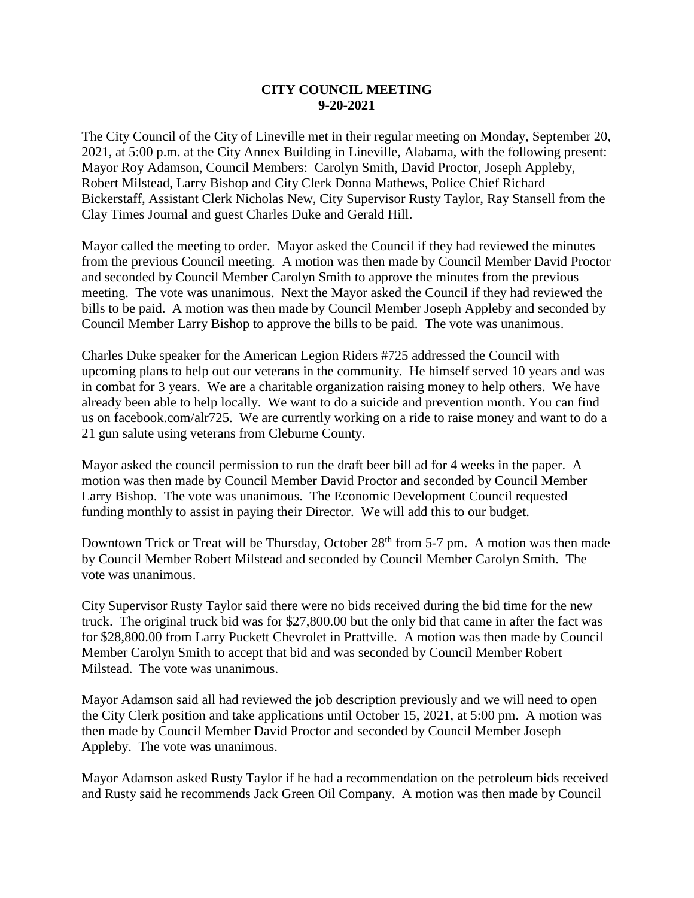## **CITY COUNCIL MEETING 9-20-2021**

The City Council of the City of Lineville met in their regular meeting on Monday, September 20, 2021, at 5:00 p.m. at the City Annex Building in Lineville, Alabama, with the following present: Mayor Roy Adamson, Council Members: Carolyn Smith, David Proctor, Joseph Appleby, Robert Milstead, Larry Bishop and City Clerk Donna Mathews, Police Chief Richard Bickerstaff, Assistant Clerk Nicholas New, City Supervisor Rusty Taylor, Ray Stansell from the Clay Times Journal and guest Charles Duke and Gerald Hill.

Mayor called the meeting to order. Mayor asked the Council if they had reviewed the minutes from the previous Council meeting. A motion was then made by Council Member David Proctor and seconded by Council Member Carolyn Smith to approve the minutes from the previous meeting. The vote was unanimous. Next the Mayor asked the Council if they had reviewed the bills to be paid. A motion was then made by Council Member Joseph Appleby and seconded by Council Member Larry Bishop to approve the bills to be paid. The vote was unanimous.

Charles Duke speaker for the American Legion Riders #725 addressed the Council with upcoming plans to help out our veterans in the community. He himself served 10 years and was in combat for 3 years. We are a charitable organization raising money to help others. We have already been able to help locally. We want to do a suicide and prevention month. You can find us on facebook.com/alr725. We are currently working on a ride to raise money and want to do a 21 gun salute using veterans from Cleburne County.

Mayor asked the council permission to run the draft beer bill ad for 4 weeks in the paper. A motion was then made by Council Member David Proctor and seconded by Council Member Larry Bishop. The vote was unanimous. The Economic Development Council requested funding monthly to assist in paying their Director. We will add this to our budget.

Downtown Trick or Treat will be Thursday, October 28<sup>th</sup> from 5-7 pm. A motion was then made by Council Member Robert Milstead and seconded by Council Member Carolyn Smith. The vote was unanimous.

City Supervisor Rusty Taylor said there were no bids received during the bid time for the new truck. The original truck bid was for \$27,800.00 but the only bid that came in after the fact was for \$28,800.00 from Larry Puckett Chevrolet in Prattville. A motion was then made by Council Member Carolyn Smith to accept that bid and was seconded by Council Member Robert Milstead. The vote was unanimous.

Mayor Adamson said all had reviewed the job description previously and we will need to open the City Clerk position and take applications until October 15, 2021, at 5:00 pm. A motion was then made by Council Member David Proctor and seconded by Council Member Joseph Appleby. The vote was unanimous.

Mayor Adamson asked Rusty Taylor if he had a recommendation on the petroleum bids received and Rusty said he recommends Jack Green Oil Company. A motion was then made by Council